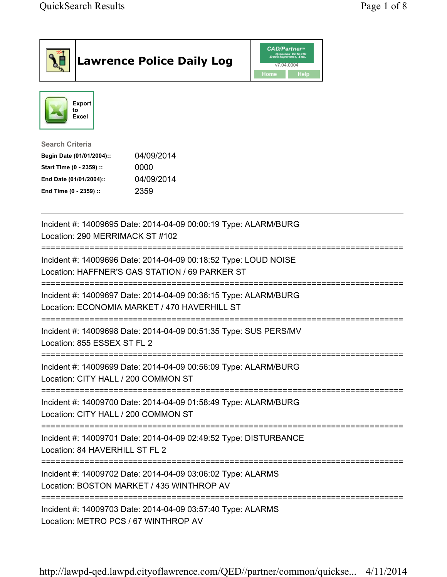|                                                                                                                                      | <b>Lawrence Police Daily Log</b>                                                                                  | <b>CAD/Partner</b><br>Queues Enforth<br>Development, Inc.<br>v7.04.0004<br><b>Home</b><br>Help |  |
|--------------------------------------------------------------------------------------------------------------------------------------|-------------------------------------------------------------------------------------------------------------------|------------------------------------------------------------------------------------------------|--|
| Export<br>to<br>Excel                                                                                                                |                                                                                                                   |                                                                                                |  |
| <b>Search Criteria</b><br>Begin Date (01/01/2004)::<br>Start Time (0 - 2359) ::<br>End Date (01/01/2004)::<br>End Time (0 - 2359) :: | 04/09/2014<br>0000<br>04/09/2014<br>2359                                                                          |                                                                                                |  |
| Location: 290 MERRIMACK ST #102                                                                                                      | Incident #: 14009695 Date: 2014-04-09 00:00:19 Type: ALARM/BURG                                                   |                                                                                                |  |
|                                                                                                                                      | Incident #: 14009696 Date: 2014-04-09 00:18:52 Type: LOUD NOISE<br>Location: HAFFNER'S GAS STATION / 69 PARKER ST |                                                                                                |  |
|                                                                                                                                      | Incident #: 14009697 Date: 2014-04-09 00:36:15 Type: ALARM/BURG<br>Location: ECONOMIA MARKET / 470 HAVERHILL ST   |                                                                                                |  |
| Location: 855 ESSEX ST FL 2                                                                                                          | Incident #: 14009698 Date: 2014-04-09 00:51:35 Type: SUS PERS/MV                                                  |                                                                                                |  |
| Location: CITY HALL / 200 COMMON ST                                                                                                  | Incident #: 14009699 Date: 2014-04-09 00:56:09 Type: ALARM/BURG                                                   |                                                                                                |  |
| Location: CITY HALL / 200 COMMON ST                                                                                                  | Incident #: 14009700 Date: 2014-04-09 01:58:49 Type: ALARM/BURG                                                   |                                                                                                |  |
| Location: 84 HAVERHILL ST FL 2                                                                                                       | Incident #: 14009701 Date: 2014-04-09 02:49:52 Type: DISTURBANCE                                                  |                                                                                                |  |
| Incident #: 14009702 Date: 2014-04-09 03:06:02 Type: ALARMS<br>Location: BOSTON MARKET / 435 WINTHROP AV                             |                                                                                                                   |                                                                                                |  |
| Location: METRO PCS / 67 WINTHROP AV                                                                                                 | Incident #: 14009703 Date: 2014-04-09 03:57:40 Type: ALARMS                                                       |                                                                                                |  |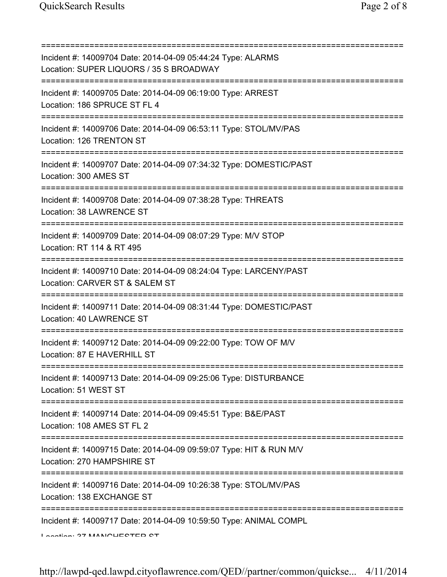| Incident #: 14009704 Date: 2014-04-09 05:44:24 Type: ALARMS<br>Location: SUPER LIQUORS / 35 S BROADWAY                                       |
|----------------------------------------------------------------------------------------------------------------------------------------------|
| Incident #: 14009705 Date: 2014-04-09 06:19:00 Type: ARREST<br>Location: 186 SPRUCE ST FL 4                                                  |
| Incident #: 14009706 Date: 2014-04-09 06:53:11 Type: STOL/MV/PAS<br>Location: 126 TRENTON ST                                                 |
| Incident #: 14009707 Date: 2014-04-09 07:34:32 Type: DOMESTIC/PAST<br>Location: 300 AMES ST                                                  |
| Incident #: 14009708 Date: 2014-04-09 07:38:28 Type: THREATS<br>Location: 38 LAWRENCE ST                                                     |
| ======================<br>Incident #: 14009709 Date: 2014-04-09 08:07:29 Type: M/V STOP<br>Location: RT 114 & RT 495                         |
| Incident #: 14009710 Date: 2014-04-09 08:24:04 Type: LARCENY/PAST<br>Location: CARVER ST & SALEM ST<br>===================================== |
| Incident #: 14009711 Date: 2014-04-09 08:31:44 Type: DOMESTIC/PAST<br>Location: 40 LAWRENCE ST                                               |
| Incident #: 14009712 Date: 2014-04-09 09:22:00 Type: TOW OF M/V<br>Location: 87 E HAVERHILL ST                                               |
| Incident #: 14009713 Date: 2014-04-09 09:25:06 Type: DISTURBANCE<br>Location: 51 WEST ST                                                     |
| Incident #: 14009714 Date: 2014-04-09 09:45:51 Type: B&E/PAST<br>Location: 108 AMES ST FL 2                                                  |
| Incident #: 14009715 Date: 2014-04-09 09:59:07 Type: HIT & RUN M/V<br>Location: 270 HAMPSHIRE ST                                             |
| Incident #: 14009716 Date: 2014-04-09 10:26:38 Type: STOL/MV/PAS<br>Location: 138 EXCHANGE ST<br>:==========================                 |
| Incident #: 14009717 Date: 2014-04-09 10:59:50 Type: ANIMAL COMPL<br>Lootion: 97 MANIOUECTED CT                                              |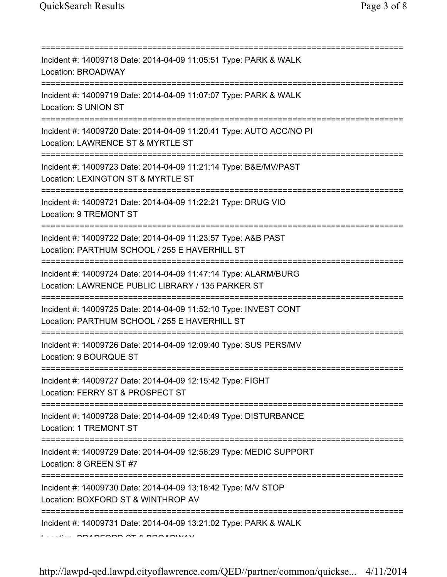| :============                                                                                                                          |
|----------------------------------------------------------------------------------------------------------------------------------------|
| Incident #: 14009718 Date: 2014-04-09 11:05:51 Type: PARK & WALK<br>Location: BROADWAY                                                 |
| Incident #: 14009719 Date: 2014-04-09 11:07:07 Type: PARK & WALK<br>Location: S UNION ST                                               |
| Incident #: 14009720 Date: 2014-04-09 11:20:41 Type: AUTO ACC/NO PI<br>Location: LAWRENCE ST & MYRTLE ST                               |
| Incident #: 14009723 Date: 2014-04-09 11:21:14 Type: B&E/MV/PAST<br>Location: LEXINGTON ST & MYRTLE ST                                 |
| Incident #: 14009721 Date: 2014-04-09 11:22:21 Type: DRUG VIO<br>Location: 9 TREMONT ST<br>-------------------------------             |
| Incident #: 14009722 Date: 2014-04-09 11:23:57 Type: A&B PAST<br>Location: PARTHUM SCHOOL / 255 E HAVERHILL ST<br>=================    |
| Incident #: 14009724 Date: 2014-04-09 11:47:14 Type: ALARM/BURG<br>Location: LAWRENCE PUBLIC LIBRARY / 135 PARKER ST                   |
| Incident #: 14009725 Date: 2014-04-09 11:52:10 Type: INVEST CONT<br>Location: PARTHUM SCHOOL / 255 E HAVERHILL ST                      |
| Incident #: 14009726 Date: 2014-04-09 12:09:40 Type: SUS PERS/MV<br>Location: 9 BOURQUE ST                                             |
| Incident #: 14009727 Date: 2014-04-09 12:15:42 Type: FIGHT<br>Location: FERRY ST & PROSPECT ST                                         |
| Incident #: 14009728 Date: 2014-04-09 12:40:49 Type: DISTURBANCE<br>Location: 1 TREMONT ST                                             |
| =====================================<br>Incident #: 14009729 Date: 2014-04-09 12:56:29 Type: MEDIC SUPPORT<br>Location: 8 GREEN ST #7 |
| Incident #: 14009730 Date: 2014-04-09 13:18:42 Type: M/V STOP<br>Location: BOXFORD ST & WINTHROP AV                                    |
| =================<br>Incident #: 14009731 Date: 2014-04-09 13:21:02 Type: PARK & WALK                                                  |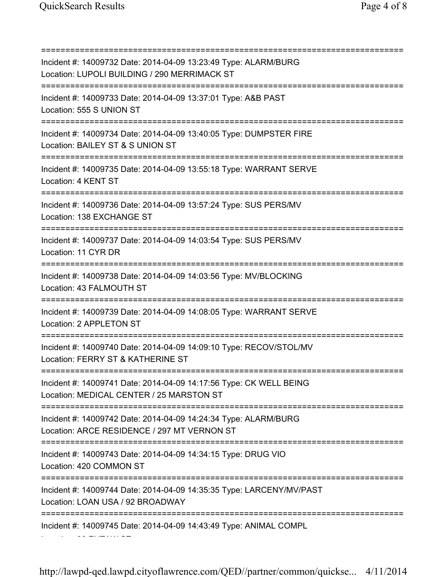Location: 30 EUTAW ST

=========================================================================== Incident #: 14009732 Date: 2014-04-09 13:23:49 Type: ALARM/BURG Location: LUPOLI BUILDING / 290 MERRIMACK ST =========================================================================== Incident #: 14009733 Date: 2014-04-09 13:37:01 Type: A&B PAST Location: 555 S UNION ST =========================================================================== Incident #: 14009734 Date: 2014-04-09 13:40:05 Type: DUMPSTER FIRE Location: BAILEY ST & S UNION ST =========================================================================== Incident #: 14009735 Date: 2014-04-09 13:55:18 Type: WARRANT SERVE Location: 4 KENT ST =========================================================================== Incident #: 14009736 Date: 2014-04-09 13:57:24 Type: SUS PERS/MV Location: 138 EXCHANGE ST =========================================================================== Incident #: 14009737 Date: 2014-04-09 14:03:54 Type: SUS PERS/MV Location: 11 CYR DR =========================================================================== Incident #: 14009738 Date: 2014-04-09 14:03:56 Type: MV/BLOCKING Location: 43 FALMOUTH ST =========================================================================== Incident #: 14009739 Date: 2014-04-09 14:08:05 Type: WARRANT SERVE Location: 2 APPLETON ST =========================================================================== Incident #: 14009740 Date: 2014-04-09 14:09:10 Type: RECOV/STOL/MV Location: FERRY ST & KATHERINE ST =========================================================================== Incident #: 14009741 Date: 2014-04-09 14:17:56 Type: CK WELL BEING Location: MEDICAL CENTER / 25 MARSTON ST =========================================================================== Incident #: 14009742 Date: 2014-04-09 14:24:34 Type: ALARM/BURG Location: ARCE RESIDENCE / 297 MT VERNON ST =========================================================================== Incident #: 14009743 Date: 2014-04-09 14:34:15 Type: DRUG VIO Location: 420 COMMON ST =========================================================================== Incident #: 14009744 Date: 2014-04-09 14:35:35 Type: LARCENY/MV/PAST Location: LOAN USA / 92 BROADWAY =========================================================================== Incident #: 14009745 Date: 2014-04-09 14:43:49 Type: ANIMAL COMPL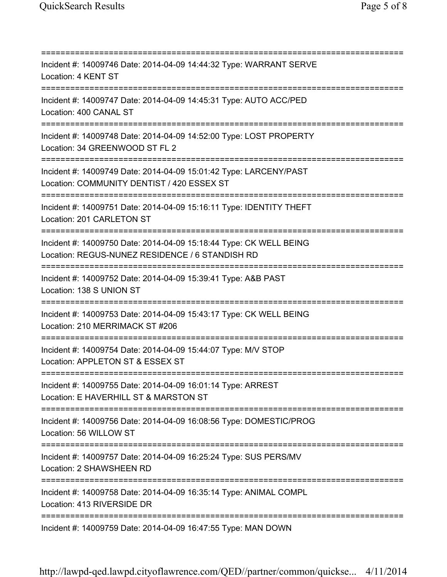=========================================================================== Incident #: 14009746 Date: 2014-04-09 14:44:32 Type: WARRANT SERVE Location: 4 KENT ST =========================================================================== Incident #: 14009747 Date: 2014-04-09 14:45:31 Type: AUTO ACC/PED Location: 400 CANAL ST =========================================================================== Incident #: 14009748 Date: 2014-04-09 14:52:00 Type: LOST PROPERTY Location: 34 GREENWOOD ST FL 2 =========================================================================== Incident #: 14009749 Date: 2014-04-09 15:01:42 Type: LARCENY/PAST Location: COMMUNITY DENTIST / 420 ESSEX ST =========================================================================== Incident #: 14009751 Date: 2014-04-09 15:16:11 Type: IDENTITY THEFT Location: 201 CARLETON ST =========================================================================== Incident #: 14009750 Date: 2014-04-09 15:18:44 Type: CK WELL BEING Location: REGUS-NUNEZ RESIDENCE / 6 STANDISH RD =========================================================================== Incident #: 14009752 Date: 2014-04-09 15:39:41 Type: A&B PAST Location: 138 S UNION ST =========================================================================== Incident #: 14009753 Date: 2014-04-09 15:43:17 Type: CK WELL BEING Location: 210 MERRIMACK ST #206 =========================================================================== Incident #: 14009754 Date: 2014-04-09 15:44:07 Type: M/V STOP Location: APPLETON ST & ESSEX ST =========================================================================== Incident #: 14009755 Date: 2014-04-09 16:01:14 Type: ARREST Location: E HAVERHILL ST & MARSTON ST =========================================================================== Incident #: 14009756 Date: 2014-04-09 16:08:56 Type: DOMESTIC/PROG Location: 56 WILLOW ST =========================================================================== Incident #: 14009757 Date: 2014-04-09 16:25:24 Type: SUS PERS/MV Location: 2 SHAWSHEEN RD =========================================================================== Incident #: 14009758 Date: 2014-04-09 16:35:14 Type: ANIMAL COMPL Location: 413 RIVERSIDE DR =========================================================================== Incident #: 14009759 Date: 2014-04-09 16:47:55 Type: MAN DOWN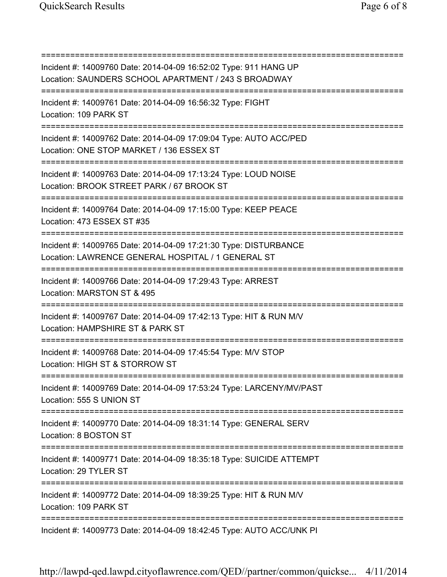| Incident #: 14009760 Date: 2014-04-09 16:52:02 Type: 911 HANG UP<br>Location: SAUNDERS SCHOOL APARTMENT / 243 S BROADWAY                              |
|-------------------------------------------------------------------------------------------------------------------------------------------------------|
| Incident #: 14009761 Date: 2014-04-09 16:56:32 Type: FIGHT<br>Location: 109 PARK ST                                                                   |
| Incident #: 14009762 Date: 2014-04-09 17:09:04 Type: AUTO ACC/PED<br>Location: ONE STOP MARKET / 136 ESSEX ST                                         |
| Incident #: 14009763 Date: 2014-04-09 17:13:24 Type: LOUD NOISE<br>Location: BROOK STREET PARK / 67 BROOK ST                                          |
| Incident #: 14009764 Date: 2014-04-09 17:15:00 Type: KEEP PEACE<br>Location: 473 ESSEX ST #35                                                         |
| Incident #: 14009765 Date: 2014-04-09 17:21:30 Type: DISTURBANCE<br>Location: LAWRENCE GENERAL HOSPITAL / 1 GENERAL ST<br>=========================== |
| Incident #: 14009766 Date: 2014-04-09 17:29:43 Type: ARREST<br>Location: MARSTON ST & 495                                                             |
| Incident #: 14009767 Date: 2014-04-09 17:42:13 Type: HIT & RUN M/V<br>Location: HAMPSHIRE ST & PARK ST                                                |
| Incident #: 14009768 Date: 2014-04-09 17:45:54 Type: M/V STOP<br>Location: HIGH ST & STORROW ST                                                       |
| Incident #: 14009769 Date: 2014-04-09 17:53:24 Type: LARCENY/MV/PAST<br>Location: 555 S UNION ST                                                      |
| ================================<br>Incident #: 14009770 Date: 2014-04-09 18:31:14 Type: GENERAL SERV<br>Location: 8 BOSTON ST                        |
| Incident #: 14009771 Date: 2014-04-09 18:35:18 Type: SUICIDE ATTEMPT<br>Location: 29 TYLER ST                                                         |
| Incident #: 14009772 Date: 2014-04-09 18:39:25 Type: HIT & RUN M/V<br>Location: 109 PARK ST                                                           |
| Incident #: 14009773 Date: 2014-04-09 18:42:45 Type: AUTO ACC/UNK PI                                                                                  |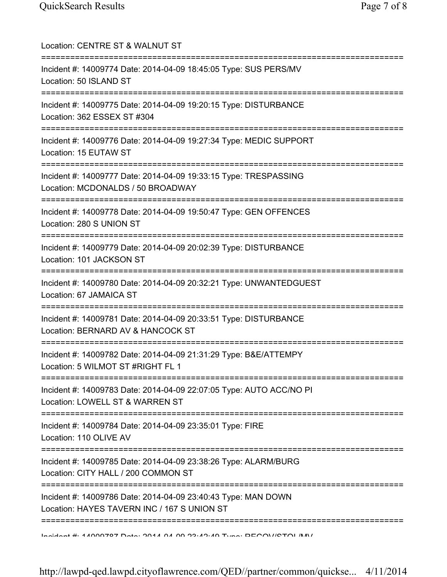| Location: CENTRE ST & WALNUT ST<br>============================<br>=============                                                                               |
|----------------------------------------------------------------------------------------------------------------------------------------------------------------|
| Incident #: 14009774 Date: 2014-04-09 18:45:05 Type: SUS PERS/MV<br>Location: 50 ISLAND ST                                                                     |
| Incident #: 14009775 Date: 2014-04-09 19:20:15 Type: DISTURBANCE<br>Location: 362 ESSEX ST #304                                                                |
| Incident #: 14009776 Date: 2014-04-09 19:27:34 Type: MEDIC SUPPORT<br>Location: 15 EUTAW ST<br>===================================                             |
| Incident #: 14009777 Date: 2014-04-09 19:33:15 Type: TRESPASSING<br>Location: MCDONALDS / 50 BROADWAY                                                          |
| Incident #: 14009778 Date: 2014-04-09 19:50:47 Type: GEN OFFENCES<br>Location: 280 S UNION ST<br>--------------------------------                              |
| Incident #: 14009779 Date: 2014-04-09 20:02:39 Type: DISTURBANCE<br>Location: 101 JACKSON ST                                                                   |
| Incident #: 14009780 Date: 2014-04-09 20:32:21 Type: UNWANTEDGUEST<br>Location: 67 JAMAICA ST                                                                  |
| Incident #: 14009781 Date: 2014-04-09 20:33:51 Type: DISTURBANCE<br>Location: BERNARD AV & HANCOCK ST                                                          |
| Incident #: 14009782 Date: 2014-04-09 21:31:29 Type: B&E/ATTEMPY<br>Location: 5 WILMOT ST #RIGHT FL 1                                                          |
| Incident #: 14009783 Date: 2014-04-09 22:07:05 Type: AUTO ACC/NO PI<br>Location: LOWELL ST & WARREN ST                                                         |
| Incident #: 14009784 Date: 2014-04-09 23:35:01 Type: FIRE<br>Location: 110 OLIVE AV                                                                            |
| Incident #: 14009785 Date: 2014-04-09 23:38:26 Type: ALARM/BURG<br>Location: CITY HALL / 200 COMMON ST                                                         |
| ===========<br>Incident #: 14009786 Date: 2014-04-09 23:40:43 Type: MAN DOWN<br>Location: HAYES TAVERN INC / 167 S UNION ST                                    |
| $A \sim A$ in $A \sim A$ is a $A \sim A$ in $A \sim A$ in $A \sim A$ in $A \sim A$ in $A \sim A$ in $A \sim A$ in $A \sim A$ is a set $A \sim A$ in $A \sim A$ |